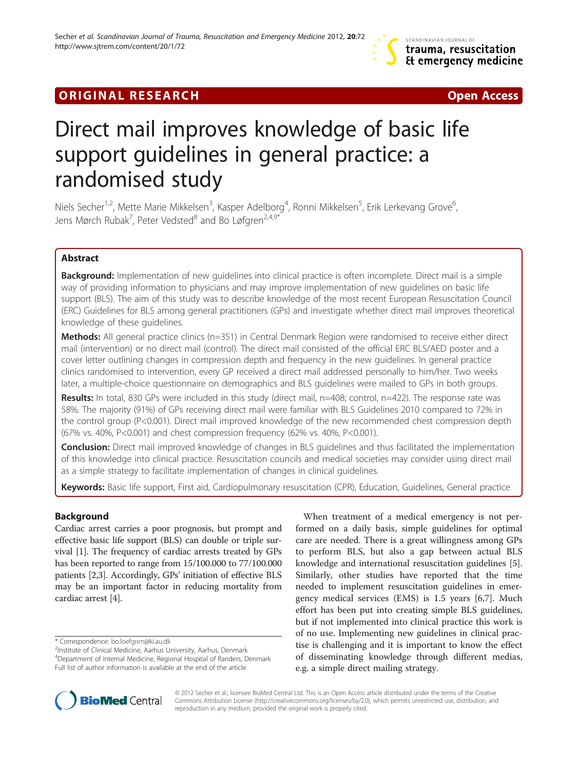# **ORIGINAL RESEARCH CONSUMING A RESEARCH CONSUMING A RESEARCH**

# Direct mail improves knowledge of basic life support guidelines in general practice: a randomised study

Niels Secher<sup>1,2</sup>, Mette Marie Mikkelsen<sup>3</sup>, Kasper Adelborg<sup>4</sup>, Ronni Mikkelsen<sup>5</sup>, Erik Lerkevang Grove<sup>6</sup> , Jens Mørch Rubak<sup>7</sup>, Peter Vedsted $^8$  and Bo Løfgren $^{2,4,9^{\ast}}$ 

# Abstract

Background: Implementation of new guidelines into clinical practice is often incomplete. Direct mail is a simple way of providing information to physicians and may improve implementation of new guidelines on basic life support (BLS). The aim of this study was to describe knowledge of the most recent European Resuscitation Council (ERC) Guidelines for BLS among general practitioners (GPs) and investigate whether direct mail improves theoretical knowledge of these guidelines.

Methods: All general practice clinics (n=351) in Central Denmark Region were randomised to receive either direct mail (intervention) or no direct mail (control). The direct mail consisted of the official ERC BLS/AED poster and a cover letter outlining changes in compression depth and frequency in the new guidelines. In general practice clinics randomised to intervention, every GP received a direct mail addressed personally to him/her. Two weeks later, a multiple-choice questionnaire on demographics and BLS guidelines were mailed to GPs in both groups.

Results: In total, 830 GPs were included in this study (direct mail, n=408; control, n=422). The response rate was 58%. The majority (91%) of GPs receiving direct mail were familiar with BLS Guidelines 2010 compared to 72% in the control group (P<0.001). Direct mail improved knowledge of the new recommended chest compression depth (67% vs. 40%, P<0.001) and chest compression frequency (62% vs. 40%, P<0.001).

**Conclusion:** Direct mail improved knowledge of changes in BLS guidelines and thus facilitated the implementation of this knowledge into clinical practice. Resuscitation councils and medical societies may consider using direct mail as a simple strategy to facilitate implementation of changes in clinical guidelines.

Keywords: Basic life support, First aid, Cardiopulmonary resuscitation (CPR), Education, Guidelines, General practice

# Background

Cardiac arrest carries a poor prognosis, but prompt and effective basic life support (BLS) can double or triple survival [\[1](#page-4-0)]. The frequency of cardiac arrests treated by GPs has been reported to range from 15/100.000 to 77/100.000 patients [\[2,3](#page-4-0)]. Accordingly, GPs' initiation of effective BLS may be an important factor in reducing mortality from cardiac arrest [\[4\]](#page-4-0).

\* Correspondence: [bo.loefgren@ki.au.dk](mailto:bo.loefgren@ki.au.dk) <sup>2</sup>

<sup>2</sup>Institute of Clinical Medicine, Aarhus University, Aarhus, Denmark 4 Department of Internal Medicine, Regional Hospital of Randers, Denmark Full list of author information is available at the end of the article

When treatment of a medical emergency is not performed on a daily basis, simple guidelines for optimal care are needed. There is a great willingness among GPs to perform BLS, but also a gap between actual BLS knowledge and international resuscitation guidelines [\[5](#page-4-0)]. Similarly, other studies have reported that the time needed to implement resuscitation guidelines in emergency medical services (EMS) is 1.5 years [\[6](#page-4-0),[7](#page-4-0)]. Much effort has been put into creating simple BLS guidelines, but if not implemented into clinical practice this work is of no use. Implementing new guidelines in clinical practise is challenging and it is important to know the effect of disseminating knowledge through different medias, e.g. a simple direct mailing strategy.



© 2012 Secher et al.; licensee BioMed Central Ltd. This is an Open Access article distributed under the terms of the Creative Commons Attribution License [\(http://creativecommons.org/licenses/by/2.0\)](http://creativecommons.org/licenses/by/2.0), which permits unrestricted use, distribution, and reproduction in any medium, provided the original work is properly cited.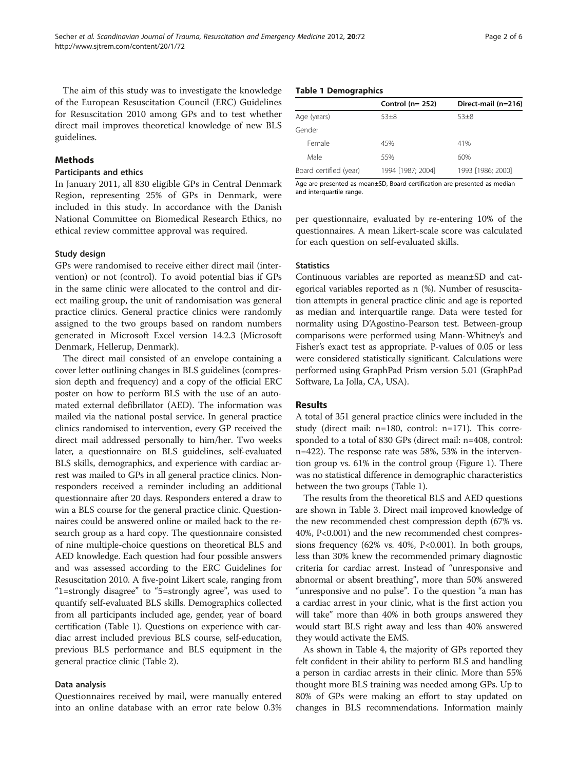The aim of this study was to investigate the knowledge of the European Resuscitation Council (ERC) Guidelines for Resuscitation 2010 among GPs and to test whether direct mail improves theoretical knowledge of new BLS guidelines.

# Methods

### Participants and ethics

In January 2011, all 830 eligible GPs in Central Denmark Region, representing 25% of GPs in Denmark, were included in this study. In accordance with the Danish National Committee on Biomedical Research Ethics, no ethical review committee approval was required.

# Study design

GPs were randomised to receive either direct mail (intervention) or not (control). To avoid potential bias if GPs in the same clinic were allocated to the control and direct mailing group, the unit of randomisation was general practice clinics. General practice clinics were randomly assigned to the two groups based on random numbers generated in Microsoft Excel version 14.2.3 (Microsoft Denmark, Hellerup, Denmark).

The direct mail consisted of an envelope containing a cover letter outlining changes in BLS guidelines (compression depth and frequency) and a copy of the official ERC poster on how to perform BLS with the use of an automated external defibrillator (AED). The information was mailed via the national postal service. In general practice clinics randomised to intervention, every GP received the direct mail addressed personally to him/her. Two weeks later, a questionnaire on BLS guidelines, self-evaluated BLS skills, demographics, and experience with cardiac arrest was mailed to GPs in all general practice clinics. Nonresponders received a reminder including an additional questionnaire after 20 days. Responders entered a draw to win a BLS course for the general practice clinic. Questionnaires could be answered online or mailed back to the research group as a hard copy. The questionnaire consisted of nine multiple-choice questions on theoretical BLS and AED knowledge. Each question had four possible answers and was assessed according to the ERC Guidelines for Resuscitation 2010. A five-point Likert scale, ranging from "1=strongly disagree" to "5=strongly agree", was used to quantify self-evaluated BLS skills. Demographics collected from all participants included age, gender, year of board certification (Table 1). Questions on experience with cardiac arrest included previous BLS course, self-education, previous BLS performance and BLS equipment in the general practice clinic (Table [2\)](#page-2-0).

# Data analysis

Questionnaires received by mail, were manually entered into an online database with an error rate below 0.3%

#### Table 1 Demographics

|                        | Control $(n=252)$ | Direct-mail (n=216) |
|------------------------|-------------------|---------------------|
| Age (years)            | $53+8$            | $53 + 8$            |
| Gender                 |                   |                     |
| Female                 | 45%               | 41%                 |
| Male                   | 55%               | 60%                 |
| Board certified (year) | 1994 [1987; 2004] | 1993 [1986; 2000]   |

Age are presented as mean±SD, Board certification are presented as median and interquartile range.

per questionnaire, evaluated by re-entering 10% of the questionnaires. A mean Likert-scale score was calculated for each question on self-evaluated skills.

### **Statistics**

Continuous variables are reported as mean±SD and categorical variables reported as n (%). Number of resuscitation attempts in general practice clinic and age is reported as median and interquartile range. Data were tested for normality using D'Agostino-Pearson test. Between-group comparisons were performed using Mann-Whitney's and Fisher's exact test as appropriate. P-values of 0.05 or less were considered statistically significant. Calculations were performed using GraphPad Prism version 5.01 (GraphPad Software, La Jolla, CA, USA).

# Results

A total of 351 general practice clinics were included in the study (direct mail: n=180, control: n=171). This corresponded to a total of 830 GPs (direct mail: n=408, control: n=422). The response rate was 58%, 53% in the intervention group vs. 61% in the control group (Figure [1](#page-2-0)). There was no statistical difference in demographic characteristics between the two groups (Table 1).

The results from the theoretical BLS and AED questions are shown in Table [3.](#page-3-0) Direct mail improved knowledge of the new recommended chest compression depth (67% vs. 40%, P<0.001) and the new recommended chest compressions frequency  $(62\% \text{ vs. } 40\%, \text{ P}<0.001)$ . In both groups, less than 30% knew the recommended primary diagnostic criteria for cardiac arrest. Instead of "unresponsive and abnormal or absent breathing", more than 50% answered "unresponsive and no pulse". To the question "a man has a cardiac arrest in your clinic, what is the first action you will take" more than 40% in both groups answered they would start BLS right away and less than 40% answered they would activate the EMS.

As shown in Table [4](#page-3-0), the majority of GPs reported they felt confident in their ability to perform BLS and handling a person in cardiac arrests in their clinic. More than 55% thought more BLS training was needed among GPs. Up to 80% of GPs were making an effort to stay updated on changes in BLS recommendations. Information mainly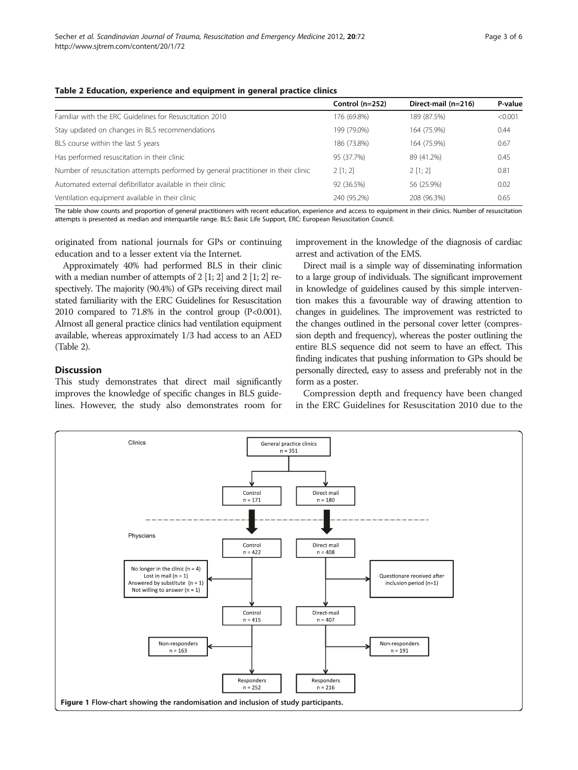# <span id="page-2-0"></span>Table 2 Education, experience and equipment in general practice clinics

|                                                                                    | Control $(n=252)$ | Direct-mail (n=216) | P-value |
|------------------------------------------------------------------------------------|-------------------|---------------------|---------|
| Familiar with the ERC Guidelines for Resuscitation 2010                            | 176 (69.8%)       | 189 (87.5%)         | < 0.001 |
| Stay updated on changes in BLS recommendations                                     | 199 (79.0%)       | 164 (75.9%)         | 0.44    |
| BLS course within the last 5 years                                                 | 186 (73.8%)       | 164 (75.9%)         | 0.67    |
| Has performed resuscitation in their clinic                                        | 95 (37.7%)        | 89 (41.2%)          | 0.45    |
| Number of resuscitation attempts performed by general practitioner in their clinic | 2 [1; 2]          | 2 [1; 2]            | 0.81    |
| Automated external defibrillator available in their clinic                         | 92 (36.5%)        | 56 (25.9%)          | 0.02    |
| Ventilation equipment available in their clinic                                    | 240 (95.2%)       | 208 (96.3%)         | 0.65    |

The table show counts and proportion of general practitioners with recent education, experience and access to equipment in their clinics. Number of resuscitation attempts is presented as median and interquartile range. BLS: Basic Life Support, ERC: European Resuscitation Council.

originated from national journals for GPs or continuing education and to a lesser extent via the Internet.

Approximately 40% had performed BLS in their clinic with a median number of attempts of 2 [1; 2] and 2 [1; 2] respectively. The majority (90.4%) of GPs receiving direct mail stated familiarity with the ERC Guidelines for Resuscitation 2010 compared to  $71.8\%$  in the control group (P<0.001). Almost all general practice clinics had ventilation equipment available, whereas approximately 1/3 had access to an AED (Table 2).

# **Discussion**

This study demonstrates that direct mail significantly improves the knowledge of specific changes in BLS guidelines. However, the study also demonstrates room for improvement in the knowledge of the diagnosis of cardiac arrest and activation of the EMS.

Direct mail is a simple way of disseminating information to a large group of individuals. The significant improvement in knowledge of guidelines caused by this simple intervention makes this a favourable way of drawing attention to changes in guidelines. The improvement was restricted to the changes outlined in the personal cover letter (compression depth and frequency), whereas the poster outlining the entire BLS sequence did not seem to have an effect. This finding indicates that pushing information to GPs should be personally directed, easy to assess and preferably not in the form as a poster.

Compression depth and frequency have been changed in the ERC Guidelines for Resuscitation 2010 due to the

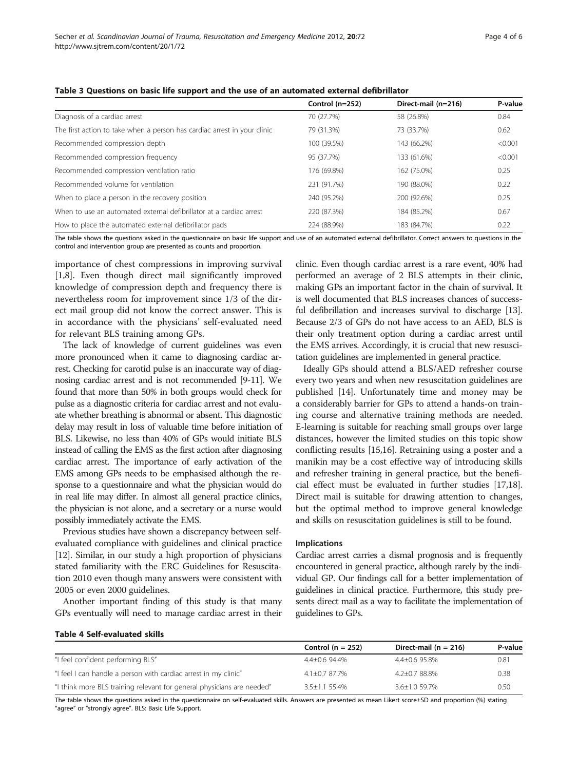|                                                                          | Control (n=252) | Direct-mail (n=216) | P-value |
|--------------------------------------------------------------------------|-----------------|---------------------|---------|
| Diagnosis of a cardiac arrest                                            | 70 (27.7%)      | 58 (26.8%)          | 0.84    |
| The first action to take when a person has cardiac arrest in your clinic | 79 (31.3%)      | 73 (33.7%)          | 0.62    |
| Recommended compression depth                                            | 100 (39.5%)     | 143 (66.2%)         | < 0.001 |
| Recommended compression frequency                                        | 95 (37.7%)      | 133 (61.6%)         | < 0.001 |
| Recommended compression ventilation ratio                                | 176 (69.8%)     | 162 (75.0%)         | 0.25    |
| Recommended volume for ventilation                                       | 231 (91.7%)     | 190 (88.0%)         | 0.22    |
| When to place a person in the recovery position                          | 240 (95.2%)     | 200 (92.6%)         | 0.25    |
| When to use an automated external defibrillator at a cardiac arrest      | 220 (87.3%)     | 184 (85.2%)         | 0.67    |
| How to place the automated external defibrillator pads                   | 224 (88.9%)     | 183 (84.7%)         | 0.22    |

#### <span id="page-3-0"></span>Table 3 Questions on basic life support and the use of an automated external defibrillator

The table shows the questions asked in the questionnaire on basic life support and use of an automated external defibrillator. Correct answers to questions in the control and intervention group are presented as counts and proportion.

importance of chest compressions in improving survival [[1,8\]](#page-4-0). Even though direct mail significantly improved knowledge of compression depth and frequency there is nevertheless room for improvement since 1/3 of the direct mail group did not know the correct answer. This is in accordance with the physicians' self-evaluated need for relevant BLS training among GPs.

The lack of knowledge of current guidelines was even more pronounced when it came to diagnosing cardiac arrest. Checking for carotid pulse is an inaccurate way of diagnosing cardiac arrest and is not recommended [\[9-11\]](#page-4-0). We found that more than 50% in both groups would check for pulse as a diagnostic criteria for cardiac arrest and not evaluate whether breathing is abnormal or absent. This diagnostic delay may result in loss of valuable time before initiation of BLS. Likewise, no less than 40% of GPs would initiate BLS instead of calling the EMS as the first action after diagnosing cardiac arrest. The importance of early activation of the EMS among GPs needs to be emphasised although the response to a questionnaire and what the physician would do in real life may differ. In almost all general practice clinics, the physician is not alone, and a secretary or a nurse would possibly immediately activate the EMS.

Previous studies have shown a discrepancy between selfevaluated compliance with guidelines and clinical practice [[12](#page-4-0)]. Similar, in our study a high proportion of physicians stated familiarity with the ERC Guidelines for Resuscitation 2010 even though many answers were consistent with 2005 or even 2000 guidelines.

Another important finding of this study is that many GPs eventually will need to manage cardiac arrest in their clinic. Even though cardiac arrest is a rare event, 40% had performed an average of 2 BLS attempts in their clinic, making GPs an important factor in the chain of survival. It is well documented that BLS increases chances of successful defibrillation and increases survival to discharge [\[13](#page-4-0)]. Because 2/3 of GPs do not have access to an AED, BLS is their only treatment option during a cardiac arrest until the EMS arrives. Accordingly, it is crucial that new resuscitation guidelines are implemented in general practice.

Ideally GPs should attend a BLS/AED refresher course every two years and when new resuscitation guidelines are published [[14](#page-4-0)]. Unfortunately time and money may be a considerably barrier for GPs to attend a hands-on training course and alternative training methods are needed. E-learning is suitable for reaching small groups over large distances, however the limited studies on this topic show conflicting results [\[15,16\]](#page-4-0). Retraining using a poster and a manikin may be a cost effective way of introducing skills and refresher training in general practice, but the beneficial effect must be evaluated in further studies [\[17,](#page-4-0)[18](#page-5-0)]. Direct mail is suitable for drawing attention to changes, but the optimal method to improve general knowledge and skills on resuscitation guidelines is still to be found.

#### Implications

Cardiac arrest carries a dismal prognosis and is frequently encountered in general practice, although rarely by the individual GP. Our findings call for a better implementation of guidelines in clinical practice. Furthermore, this study presents direct mail as a way to facilitate the implementation of guidelines to GPs.

#### Table 4 Self-evaluated skills

|                                                                        | Control ( $n = 252$ ) | Direct-mail $(n = 216)$ | P-value |
|------------------------------------------------------------------------|-----------------------|-------------------------|---------|
| "I feel confident performing BLS"                                      | 4.4+0.6 94.4%         | $4.4 + 0.695.8\%$       | 0.81    |
| "I feel I can handle a person with cardiac arrest in my clinic"        | $4.1 + 0.787.7\%$     | $4.2 + 0.788.8\%$       | 0.38    |
| "I think more BLS training relevant for general physicians are needed" | $3.5 + 1.1$ 55.4%     | $3.6 + 1.059.7\%$       | 0.50    |

The table shows the questions asked in the questionnaire on self-evaluated skills. Answers are presented as mean Likert score±SD and proportion (%) stating "agree" or "strongly agree". BLS: Basic Life Support.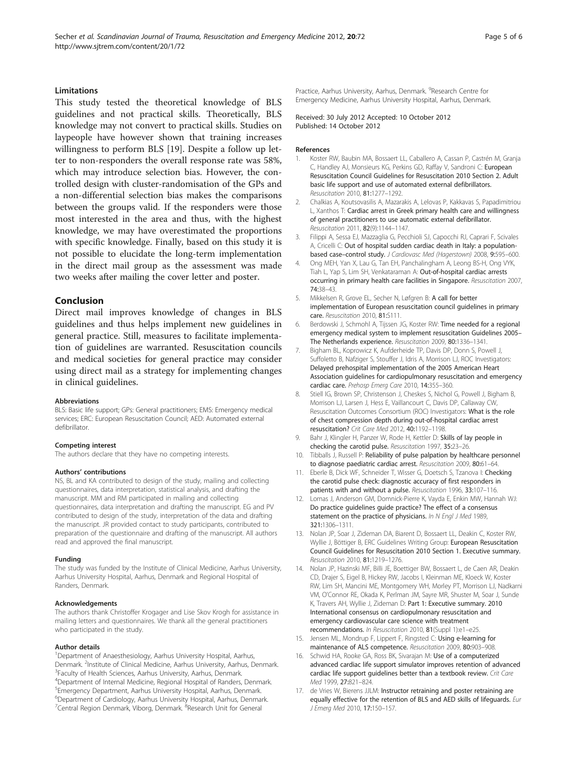## <span id="page-4-0"></span>Limitations

This study tested the theoretical knowledge of BLS guidelines and not practical skills. Theoretically, BLS knowledge may not convert to practical skills. Studies on laypeople have however shown that training increases willingness to perform BLS [\[19\]](#page-5-0). Despite a follow up letter to non-responders the overall response rate was 58%, which may introduce selection bias. However, the controlled design with cluster-randomisation of the GPs and a non-differential selection bias makes the comparisons between the groups valid. If the responders were those most interested in the area and thus, with the highest knowledge, we may have overestimated the proportions with specific knowledge. Finally, based on this study it is not possible to elucidate the long-term implementation in the direct mail group as the assessment was made two weeks after mailing the cover letter and poster.

# Conclusion

Direct mail improves knowledge of changes in BLS guidelines and thus helps implement new guidelines in general practice. Still, measures to facilitate implementation of guidelines are warranted. Resuscitation councils and medical societies for general practice may consider using direct mail as a strategy for implementing changes in clinical guidelines.

#### Abbreviations

BLS: Basic life support; GPs: General practitioners; EMS: Emergency medical services; ERC: European Resuscitation Council; AED: Automated external defibrillator.

#### Competing interest

The authors declare that they have no competing interests.

#### Authors' contributions

NS, BL and KA contributed to design of the study, mailing and collecting questionnaires, data interpretation, statistical analysis, and drafting the manuscript. MM and RM participated in mailing and collecting questionnaires, data interpretation and drafting the manuscript. EG and PV contributed to design of the study, interpretation of the data and drafting the manuscript. JR provided contact to study participants, contributed to preparation of the questionnaire and drafting of the manuscript. All authors read and approved the final manuscript.

#### Funding

The study was funded by the Institute of Clinical Medicine, Aarhus University, Aarhus University Hospital, Aarhus, Denmark and Regional Hospital of Randers, Denmark.

#### Acknowledgements

The authors thank Christoffer Krogager and Lise Skov Krogh for assistance in mailing letters and questionnaires. We thank all the general practitioners who participated in the study.

#### Author details

<sup>1</sup>Department of Anaesthesiology, Aarhus University Hospital, Aarhus, Denmark. <sup>2</sup>Institute of Clinical Medicine, Aarhus University, Aarhus, Denmark.<br><sup>3</sup>Eaculty of Health Sciences, Aarhus University, Aarhus, Denmark. Faculty of Health Sciences, Aarhus University, Aarhus, Denmark. 4 Department of Internal Medicine, Regional Hospital of Randers, Denmark. 5 Emergency Department, Aarhus University Hospital, Aarhus, Denmark. 6 Department of Cardiology, Aarhus University Hospital, Aarhus, Denmark. <sup>7</sup>Central Region Denmark, Viborg, Denmark. <sup>8</sup>Research Unit for General

Practice, Aarhus University, Aarhus, Denmark. <sup>9</sup>Research Centre for Emergency Medicine, Aarhus University Hospital, Aarhus, Denmark.

Received: 30 July 2012 Accepted: 10 October 2012 Published: 14 October 2012

#### References

- Koster RW, Baubin MA, Bossaert LL, Caballero A, Cassan P, Castrén M, Granja C, Handley AJ, Monsieurs KG, Perkins GD, Raffay V, Sandroni C: European Resuscitation Council Guidelines for Resuscitation 2010 Section 2. Adult basic life support and use of automated external defibrillators. Resuscitation 2010, 81:1277–1292.
- 2. Chalkias A, Koutsovasilis A, Mazarakis A, Lelovas P, Kakkavas S, Papadimitriou L, Xanthos T: Cardiac arrest in Greek primary health care and willingness of general practitioners to use automatic external defibrillator. Resuscitation 2011, 82(9):1144–1147.
- 3. Filippi A, Sessa EJ, Mazzaglia G, Pecchioli SJ, Capocchi RJ, Caprari F, Scivales A, Cricelli C: Out of hospital sudden cardiac death in Italy: a populationbased case–control study. J Cardiovasc Med (Hagerstown) 2008, 9:595–600.
- 4. Ong MEH, Yan X, Lau G, Tan EH, Panchalingham A, Leong BS-H, Ong VYK, Tiah L, Yap S, Lim SH, Venkataraman A: Out-of-hospital cardiac arrests occurring in primary health care facilities in Singapore. Resuscitation 2007, 74:38–43.
- 5. Mikkelsen R, Grove EL, Secher N, Løfgren B: A call for better implementation of European resuscitation council guidelines in primary care. Resuscitation 2010, 81:S111.
- 6. Berdowski J, Schmohl A, Tijssen JG, Koster RW: Time needed for a regional emergency medical system to implement resuscitation Guidelines 2005– The Netherlands experience. Resuscitation 2009, 80:1336–1341.
- 7. Bigham BL, Koprowicz K, Aufderheide TP, Davis DP, Donn S, Powell J, Suffoletto B, Nafziger S, Stouffer J, Idris A, Morrison LJ, ROC Investigators: Delayed prehospital implementation of the 2005 American Heart Association guidelines for cardiopulmonary resuscitation and emergency cardiac care. Prehosp Emerg Care 2010, 14:355–360.
- 8. Stiell IG, Brown SP, Christenson J, Cheskes S, Nichol G, Powell J, Bigham B, Morrison LJ, Larsen J, Hess E, Vaillancourt C, Davis DP, Callaway CW, Resuscitation Outcomes Consortium (ROC) Investigators: What is the role of chest compression depth during out-of-hospital cardiac arrest resuscitation? Crit Care Med 2012, 40:1192–1198.
- 9. Bahr J, Klingler H, Panzer W, Rode H, Kettler D: Skills of lay people in checking the carotid pulse. Resuscitation 1997, 35:23–26.
- 10. Tibballs J, Russell P: Reliability of pulse palpation by healthcare personnel to diagnose paediatric cardiac arrest. Resuscitation 2009, 80:61–64.
- 11. Eberle B, Dick WF, Schneider T, Wisser G, Doetsch S, Tzanova I: Checking the carotid pulse check: diagnostic accuracy of first responders in patients with and without a pulse. Resuscitation 1996, 33:107-116.
- 12. Lomas J, Anderson GM, Domnick-Pierre K, Vayda E, Enkin MW, Hannah WJ: Do practice guidelines guide practice? The effect of a consensus statement on the practice of physicians. In N Engl J Med 1989, 321:1306–1311.
- 13. Nolan JP, Soar J, Zideman DA, Biarent D, Bossaert LL, Deakin C, Koster RW, Wyllie J, Böttiger B, ERC Guidelines Writing Group: European Resuscitation Council Guidelines for Resuscitation 2010 Section 1. Executive summary. Resuscitation 2010, 81:1219–1276.
- 14. Nolan JP, Hazinski MF, Billi JE, Boettiger BW, Bossaert L, de Caen AR, Deakin CD, Drajer S, Eigel B, Hickey RW, Jacobs I, Kleinman ME, Kloeck W, Koster RW, Lim SH, Mancini ME, Montgomery WH, Morley PT, Morrison LJ, Nadkarni VM, O'Connor RE, Okada K, Perlman JM, Sayre MR, Shuster M, Soar J, Sunde K, Travers AH, Wyllie J, Zideman D: Part 1: Executive summary. 2010 International consensus on cardiopulmonary resuscitation and emergency cardiovascular care science with treatment recommendations. In Resuscitation 2010, 81(Suppl 1):e1–e25.
- 15. Jensen ML, Mondrup F, Lippert F, Ringsted C: Using e-learning for maintenance of ALS competence. Resuscitation 2009, 80:903–908.
- 16. Schwid HA, Rooke GA, Ross BK, Sivarajan M: Use of a computerized advanced cardiac life support simulator improves retention of advanced cardiac life support guidelines better than a textbook review. Crit Care Med 1999, 27:821–824.
- 17. de Vries W, Bierens JJLM: Instructor retraining and poster retraining are equally effective for the retention of BLS and AED skills of lifeguards. Eur J Emerg Med 2010, 17:150–157.